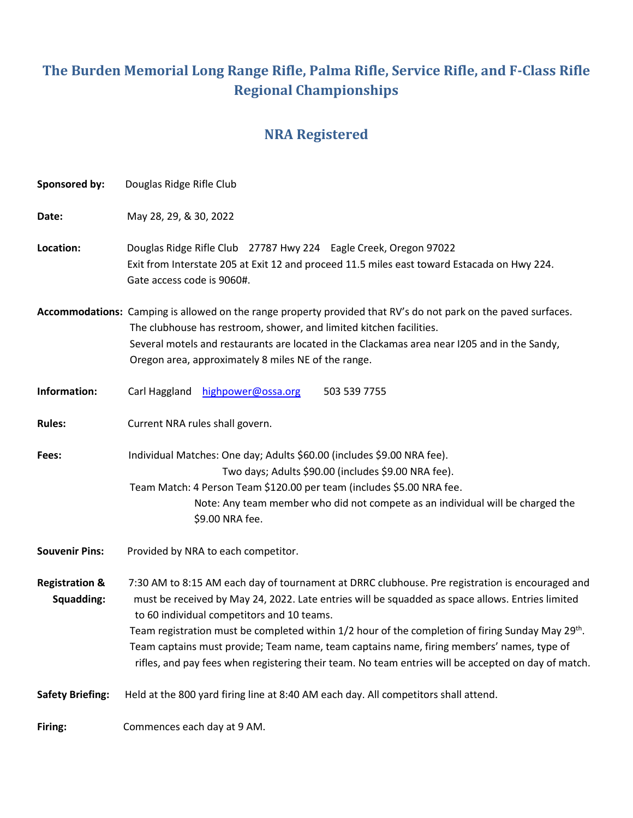# **The Burden Memorial Long Range Rifle, Palma Rifle, Service Rifle, and F-Class Rifle Regional Championships**

## **NRA Registered**

| Sponsored by:                           | Douglas Ridge Rifle Club                                                                                                                                                                                                                                                                                                                                                                                                                                                                                                                                               |  |  |
|-----------------------------------------|------------------------------------------------------------------------------------------------------------------------------------------------------------------------------------------------------------------------------------------------------------------------------------------------------------------------------------------------------------------------------------------------------------------------------------------------------------------------------------------------------------------------------------------------------------------------|--|--|
| Date:                                   | May 28, 29, & 30, 2022                                                                                                                                                                                                                                                                                                                                                                                                                                                                                                                                                 |  |  |
| Location:                               | Douglas Ridge Rifle Club 27787 Hwy 224 Eagle Creek, Oregon 97022<br>Exit from Interstate 205 at Exit 12 and proceed 11.5 miles east toward Estacada on Hwy 224.<br>Gate access code is 9060#.                                                                                                                                                                                                                                                                                                                                                                          |  |  |
|                                         | Accommodations: Camping is allowed on the range property provided that RV's do not park on the paved surfaces.<br>The clubhouse has restroom, shower, and limited kitchen facilities.<br>Several motels and restaurants are located in the Clackamas area near I205 and in the Sandy,<br>Oregon area, approximately 8 miles NE of the range.                                                                                                                                                                                                                           |  |  |
| Information:                            | Carl Haggland<br>highpower@ossa.org<br>503 539 7755                                                                                                                                                                                                                                                                                                                                                                                                                                                                                                                    |  |  |
| <b>Rules:</b>                           | Current NRA rules shall govern.                                                                                                                                                                                                                                                                                                                                                                                                                                                                                                                                        |  |  |
| Fees:                                   | Individual Matches: One day; Adults \$60.00 (includes \$9.00 NRA fee).<br>Two days; Adults \$90.00 (includes \$9.00 NRA fee).<br>Team Match: 4 Person Team \$120.00 per team (includes \$5.00 NRA fee.<br>Note: Any team member who did not compete as an individual will be charged the<br>\$9.00 NRA fee.                                                                                                                                                                                                                                                            |  |  |
| <b>Souvenir Pins:</b>                   | Provided by NRA to each competitor.                                                                                                                                                                                                                                                                                                                                                                                                                                                                                                                                    |  |  |
| <b>Registration &amp;</b><br>Squadding: | 7:30 AM to 8:15 AM each day of tournament at DRRC clubhouse. Pre registration is encouraged and<br>must be received by May 24, 2022. Late entries will be squadded as space allows. Entries limited<br>to 60 individual competitors and 10 teams.<br>Team registration must be completed within 1/2 hour of the completion of firing Sunday May 29 <sup>th</sup> .<br>Team captains must provide; Team name, team captains name, firing members' names, type of<br>rifles, and pay fees when registering their team. No team entries will be accepted on day of match. |  |  |
| <b>Safety Briefing:</b>                 | Held at the 800 yard firing line at 8:40 AM each day. All competitors shall attend.                                                                                                                                                                                                                                                                                                                                                                                                                                                                                    |  |  |
| Firing:                                 | Commences each day at 9 AM.                                                                                                                                                                                                                                                                                                                                                                                                                                                                                                                                            |  |  |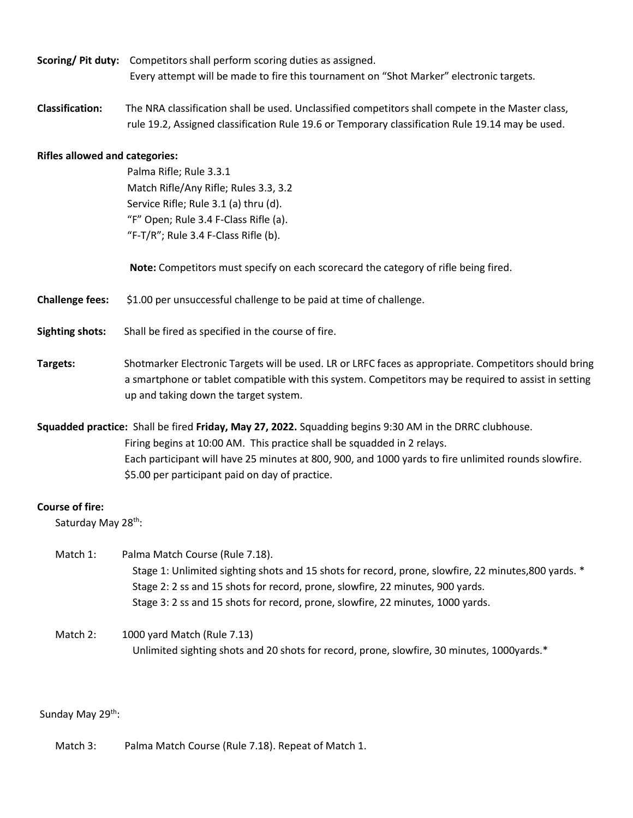- **Scoring/ Pit duty:** Competitors shall perform scoring duties as assigned. Every attempt will be made to fire this tournament on "Shot Marker" electronic targets.
- **Classification:** The NRA classification shall be used. Unclassified competitors shall compete in the Master class, rule 19.2, Assigned classification Rule 19.6 or Temporary classification Rule 19.14 may be used.

#### **Rifles allowed and categories:**

 Palma Rifle; Rule 3.3.1 Match Rifle/Any Rifle; Rules 3.3, 3.2 Service Rifle; Rule 3.1 (a) thru (d). "F" Open; Rule 3.4 F-Class Rifle (a). "F-T/R"; Rule 3.4 F-Class Rifle (b).

**Note:** Competitors must specify on each scorecard the category of rifle being fired.

**Challenge fees:** \$1.00 per unsuccessful challenge to be paid at time of challenge.

- **Sighting shots:** Shall be fired as specified in the course of fire.
- **Targets:** Shotmarker Electronic Targets will be used. LR or LRFC faces as appropriate. Competitors should bring a smartphone or tablet compatible with this system. Competitors may be required to assist in setting up and taking down the target system.
- **Squadded practice:** Shall be fired **Friday, May 27, 2022.** Squadding begins 9:30 AM in the DRRC clubhouse. Firing begins at 10:00 AM. This practice shall be squadded in 2 relays. Each participant will have 25 minutes at 800, 900, and 1000 yards to fire unlimited rounds slowfire. \$5.00 per participant paid on day of practice.

#### **Course of fire:**

Saturday May 28<sup>th</sup>:

- Match 1: Palma Match Course (Rule 7.18). Stage 1: Unlimited sighting shots and 15 shots for record, prone, slowfire, 22 minutes,800 yards. \* Stage 2: 2 ss and 15 shots for record, prone, slowfire, 22 minutes, 900 yards. Stage 3: 2 ss and 15 shots for record, prone, slowfire, 22 minutes, 1000 yards.
- Match 2: 1000 yard Match (Rule 7.13) Unlimited sighting shots and 20 shots for record, prone, slowfire, 30 minutes, 1000yards.\*

Sunday May 29<sup>th</sup>:

Match 3: Palma Match Course (Rule 7.18). Repeat of Match 1.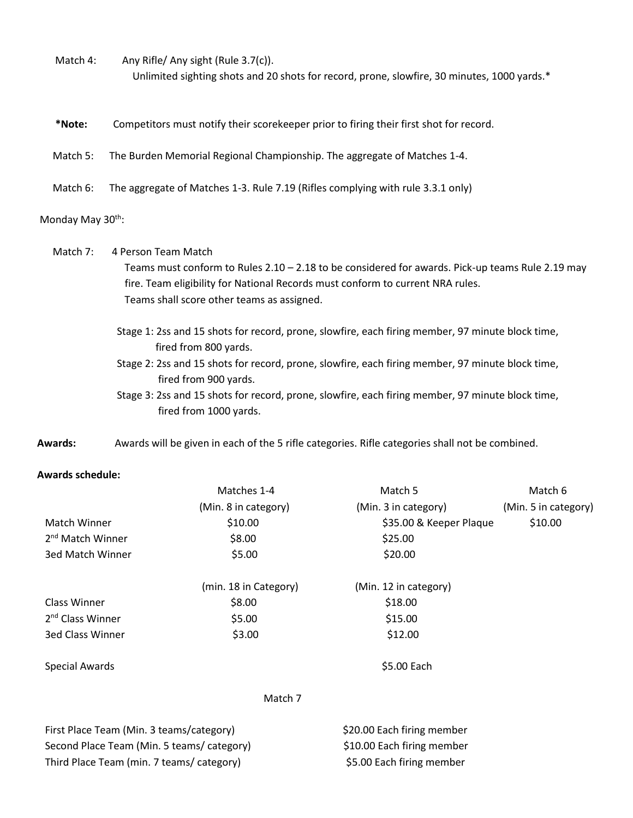- Match 4: Any Rifle/ Any sight (Rule 3.7(c)). Unlimited sighting shots and 20 shots for record, prone, slowfire, 30 minutes, 1000 yards.\*
- **\*Note:** Competitors must notify their scorekeeper prior to firing their first shot for record.
- Match 5: The Burden Memorial Regional Championship. The aggregate of Matches 1-4.
- Match 6: The aggregate of Matches 1-3. Rule 7.19 (Rifles complying with rule 3.3.1 only)

#### Monday May 30<sup>th</sup>:

 Match 7: 4 Person Team Match Teams must conform to Rules  $2.10 - 2.18$  to be considered for awards. Pick-up teams Rule 2.19 may fire. Team eligibility for National Records must conform to current NRA rules. Teams shall score other teams as assigned.

- Stage 1: 2ss and 15 shots for record, prone, slowfire, each firing member, 97 minute block time, fired from 800 yards.
- Stage 2: 2ss and 15 shots for record, prone, slowfire, each firing member, 97 minute block time, fired from 900 yards.
- Stage 3: 2ss and 15 shots for record, prone, slowfire, each firing member, 97 minute block time, fired from 1000 yards.
- **Awards:** Awards will be given in each of the 5 rifle categories. Rifle categories shall not be combined.

#### **Awards schedule:**

|                                          | Matches 1-4           | Match 5                    | Match 6              |
|------------------------------------------|-----------------------|----------------------------|----------------------|
|                                          | (Min. 8 in category)  | (Min. 3 in category)       | (Min. 5 in category) |
| Match Winner                             | \$10.00               | \$35.00 & Keeper Plaque    | \$10.00              |
| 2 <sup>nd</sup> Match Winner             | \$8.00                | \$25.00                    |                      |
| 3ed Match Winner                         | \$5.00                | \$20.00                    |                      |
|                                          | (min. 18 in Category) | (Min. 12 in category)      |                      |
| Class Winner                             | \$8.00                | \$18.00                    |                      |
| 2 <sup>nd</sup> Class Winner             | \$5.00                | \$15.00                    |                      |
| <b>3ed Class Winner</b>                  | \$3.00                | \$12.00                    |                      |
| Special Awards                           |                       | \$5.00 Each                |                      |
|                                          | Match 7               |                            |                      |
| First Place Team (Min. 3 teams/category) |                       | \$20.00 Each firing member |                      |

Second Place Team (Min. 5 teams/ category) \$10.00 Each firing member Third Place Team (min. 7 teams/ category) \$5.00 Each firing member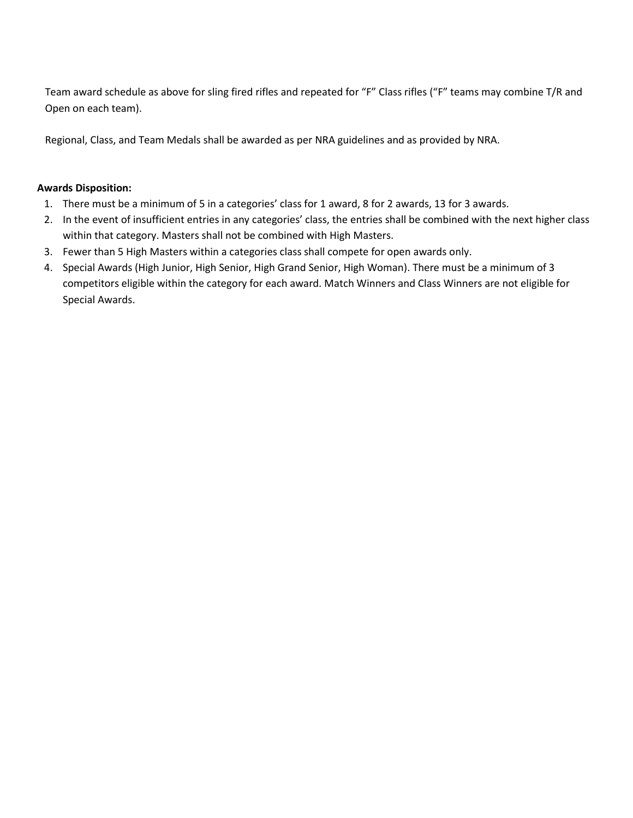Team award schedule as above for sling fired rifles and repeated for "F" Class rifles ("F" teams may combine T/R and Open on each team).

Regional, Class, and Team Medals shall be awarded as per NRA guidelines and as provided by NRA.

### **Awards Disposition:**

- 1. There must be a minimum of 5 in a categories' class for 1 award, 8 for 2 awards, 13 for 3 awards.
- 2. In the event of insufficient entries in any categories' class, the entries shall be combined with the next higher class within that category. Masters shall not be combined with High Masters.
- 3. Fewer than 5 High Masters within a categories class shall compete for open awards only.
- 4. Special Awards (High Junior, High Senior, High Grand Senior, High Woman). There must be a minimum of 3 competitors eligible within the category for each award. Match Winners and Class Winners are not eligible for Special Awards.